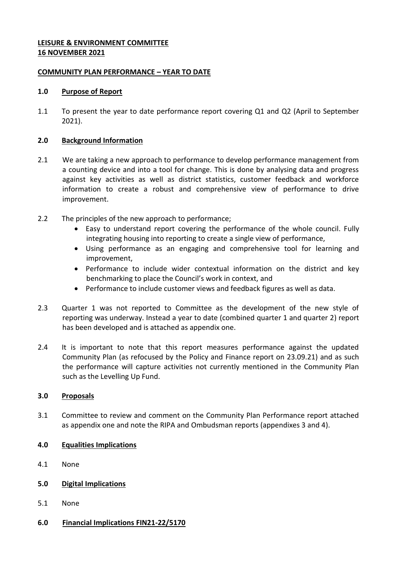### **LEISURE & ENVIRONMENT COMMITTEE 16 NOVEMBER 2021**

### **COMMUNITY PLAN PERFORMANCE – YEAR TO DATE**

### **1.0 Purpose of Report**

1.1 To present the year to date performance report covering Q1 and Q2 (April to September 2021).

### **2.0 Background Information**

- 2.1 We are taking a new approach to performance to develop performance management from a counting device and into a tool for change. This is done by analysing data and progress against key activities as well as district statistics, customer feedback and workforce information to create a robust and comprehensive view of performance to drive improvement.
- 2.2 The principles of the new approach to performance;
	- Easy to understand report covering the performance of the whole council. Fully integrating housing into reporting to create a single view of performance,
	- Using performance as an engaging and comprehensive tool for learning and improvement,
	- Performance to include wider contextual information on the district and key benchmarking to place the Council's work in context, and
	- Performance to include customer views and feedback figures as well as data.
- 2.3 Quarter 1 was not reported to Committee as the development of the new style of reporting was underway. Instead a year to date (combined quarter 1 and quarter 2) report has been developed and is attached as appendix one.
- 2.4 It is important to note that this report measures performance against the updated Community Plan (as refocused by the Policy and Finance report on 23.09.21) and as such the performance will capture activities not currently mentioned in the Community Plan such as the Levelling Up Fund.

# **3.0 Proposals**

3.1 Committee to review and comment on the Community Plan Performance report attached as appendix one and note the RIPA and Ombudsman reports (appendixes 3 and 4).

# **4.0 Equalities Implications**

- 4.1 None
- **5.0 Digital Implications**
- 5.1 None
- **6.0 Financial Implications FIN21-22/5170**